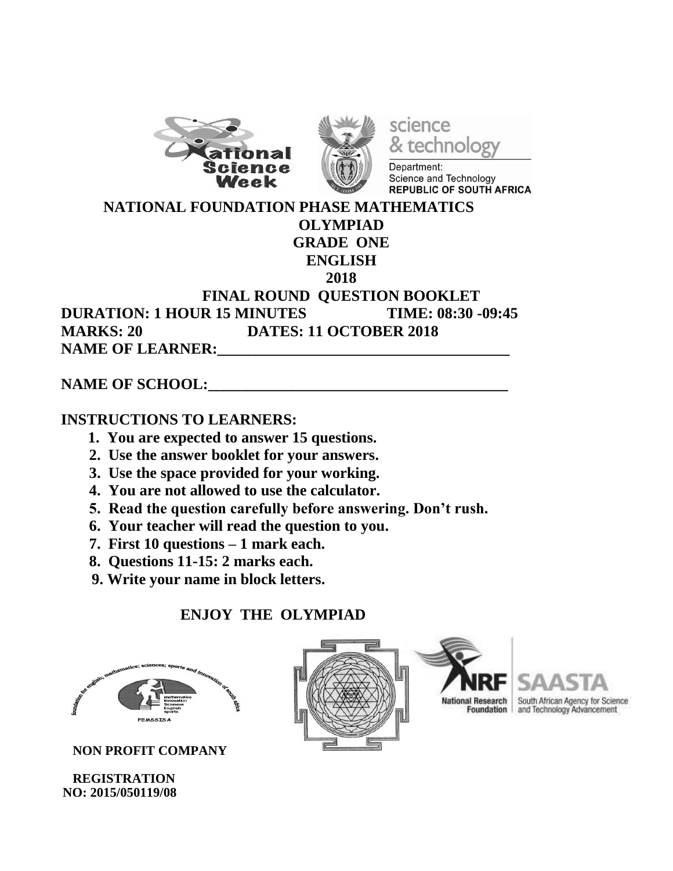



science & technology

Department: Science and Technology **REPUBLIC OF SOUTH AFRICA** 

 **NATIONAL FOUNDATION PHASE MATHEMATICS OLYMPIAD GRADE ONE ENGLISH 2018 FINAL ROUND QUESTION BOOKLET DURATION: 1 HOUR 15 MINUTES TIME: 08:30 -09:45 MARKS: 20 DATES: 11 OCTOBER 2018 NAME OF LEARNER:** 

## NAME OF SCHOOL:

## **INSTRUCTIONS TO LEARNERS:**

- **1. You are expected to answer 15 questions.**
- **2. Use the answer booklet for your answers.**
- **3. Use the space provided for your working.**
- **4. You are not allowed to use the calculator.**
- **5. Read the question carefully before answering. Don't rush.**
- **6. Your teacher will read the question to you.**
- **7. First 10 questions – 1 mark each.**
- **8. Questions 11-15: 2 marks each.**
- **9. Write your name in block letters.**

## **ENJOY THE OLYMPIAD**



 **NON PROFIT COMPANY** 

 **REGISTRATION NO: 2015/050119/08**



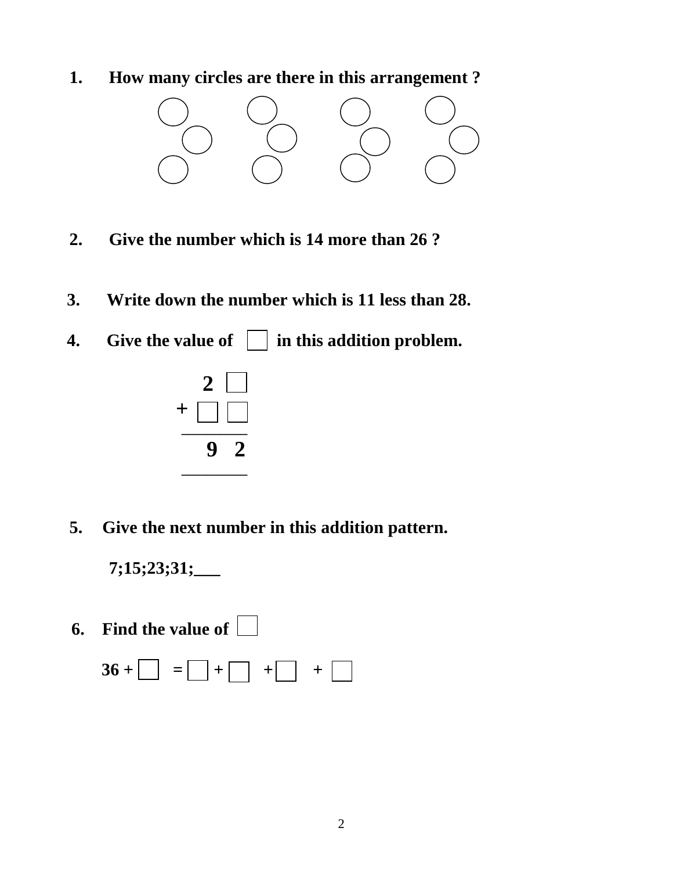**1. How many circles are there in this arrangement ?**



- **2. Give the number which is 14 more than 26 ?**
- **3. Write down the number which is 11 less than 28.**
- **4.** Give the value of  $\Box$  in this addition problem.



**5. Give the next number in this addition pattern.**

**7;15;23;31;\_\_\_**

 **6. Find the value of** 

$$
36 + \boxed{\phantom{0}} = \boxed{\phantom{0}} + \boxed{\phantom{0}} + \boxed{\phantom{0}} + \boxed{\phantom{0}}
$$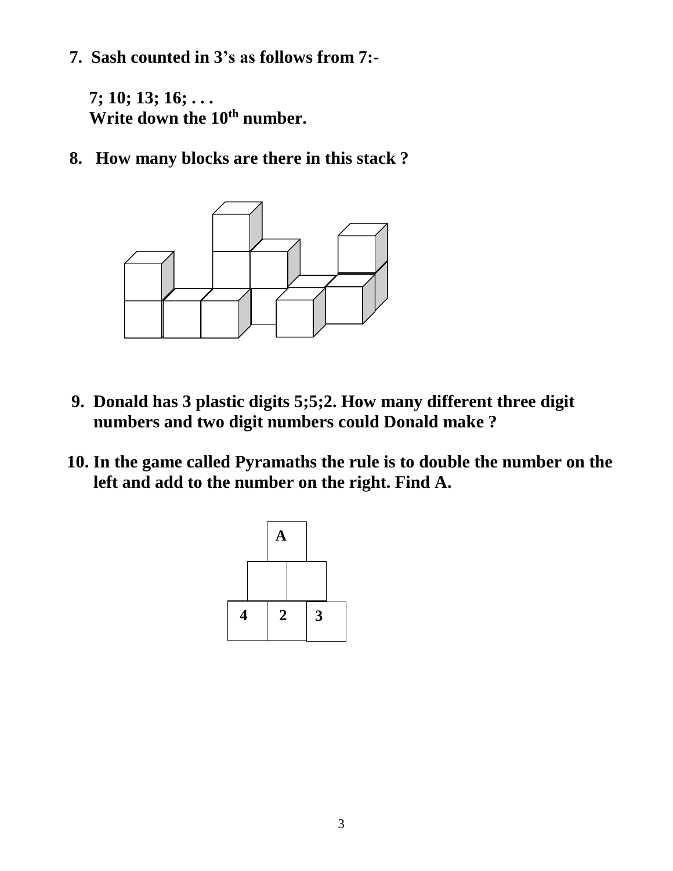**7. Sash counted in 3's as follows from 7:-**

**7; 10; 13; 16; . . . Write down the 10 th number.**

**8. How many blocks are there in this stack ?**



- **9. Donald has 3 plastic digits 5;5;2. How many different three digit numbers and two digit numbers could Donald make ?**
- **10. In the game called Pyramaths the rule is to double the number on the left and add to the number on the right. Find A.**